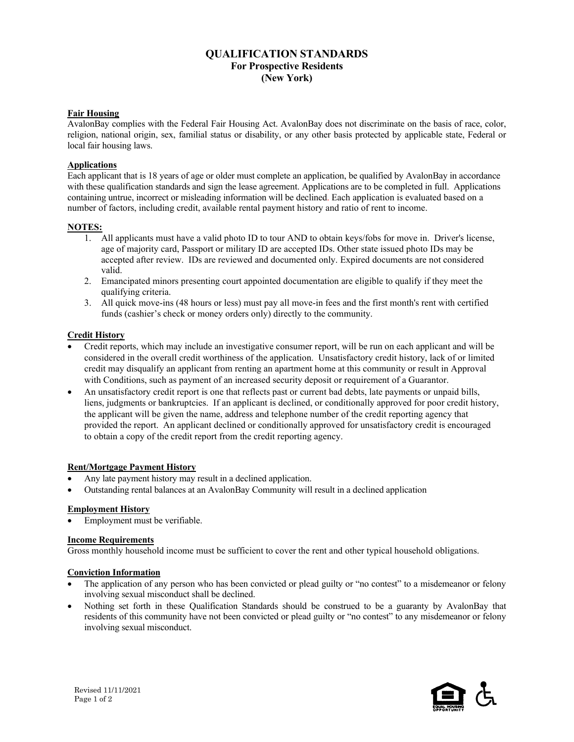# **QUALIFICATION STANDARDS For Prospective Residents (New York)**

## **Fair Housing**

AvalonBay complies with the Federal Fair Housing Act. AvalonBay does not discriminate on the basis of race, color, religion, national origin, sex, familial status or disability, or any other basis protected by applicable state, Federal or local fair housing laws.

### **Applications**

Each applicant that is 18 years of age or older must complete an application, be qualified by AvalonBay in accordance with these qualification standards and sign the lease agreement. Applications are to be completed in full. Applications containing untrue, incorrect or misleading information will be declined. Each application is evaluated based on a number of factors, including credit, available rental payment history and ratio of rent to income.

### **NOTES:**

- 1. All applicants must have a valid photo ID to tour AND to obtain keys/fobs for move in. Driver's license, age of majority card, Passport or military ID are accepted IDs. Other state issued photo IDs may be accepted after review. IDs are reviewed and documented only. Expired documents are not considered valid.
- 2. Emancipated minors presenting court appointed documentation are eligible to qualify if they meet the qualifying criteria.
- 3. All quick move-ins (48 hours or less) must pay all move-in fees and the first month's rent with certified funds (cashier's check or money orders only) directly to the community.

### **Credit History**

- Credit reports, which may include an investigative consumer report, will be run on each applicant and will be considered in the overall credit worthiness of the application. Unsatisfactory credit history, lack of or limited credit may disqualify an applicant from renting an apartment home at this community or result in Approval with Conditions, such as payment of an increased security deposit or requirement of a Guarantor.
- An unsatisfactory credit report is one that reflects past or current bad debts, late payments or unpaid bills, liens, judgments or bankruptcies. If an applicant is declined, or conditionally approved for poor credit history, the applicant will be given the name, address and telephone number of the credit reporting agency that provided the report. An applicant declined or conditionally approved for unsatisfactory credit is encouraged to obtain a copy of the credit report from the credit reporting agency.

#### **Rent/Mortgage Payment History**

- Any late payment history may result in a declined application.
- Outstanding rental balances at an AvalonBay Community will result in a declined application

#### **Employment History**

• Employment must be verifiable.

#### **Income Requirements**

Gross monthly household income must be sufficient to cover the rent and other typical household obligations.

#### **Conviction Information**

- The application of any person who has been convicted or plead guilty or "no contest" to a misdemeanor or felony involving sexual misconduct shall be declined.
- Nothing set forth in these Qualification Standards should be construed to be a guaranty by AvalonBay that residents of this community have not been convicted or plead guilty or "no contest" to any misdemeanor or felony involving sexual misconduct.